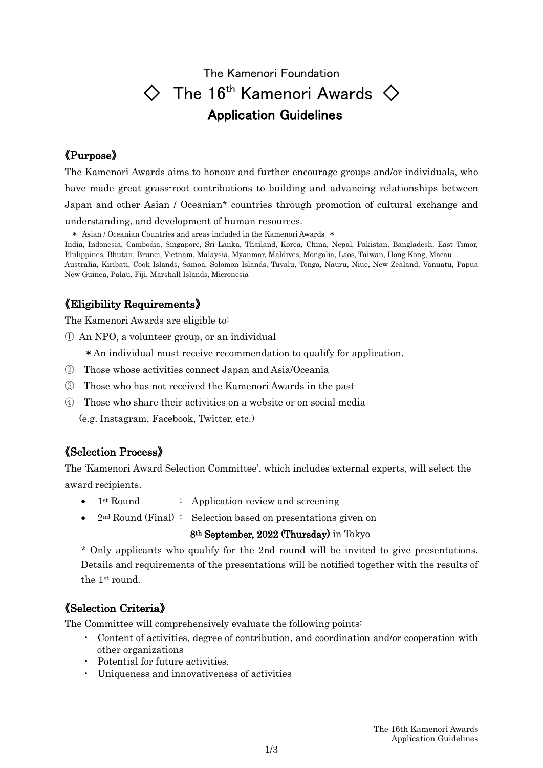# The Kamenori Foundation  $\diamondsuit$  The 16<sup>th</sup> Kamenori Awards  $\diamondsuit$ Application Guidelines

### 《Purpose》

The Kamenori Awards aims to honour and further encourage groups and/or individuals, who have made great grass-root contributions to building and advancing relationships between Japan and other Asian / Oceanian\* countries through promotion of cultural exchange and understanding, and development of human resources.

\* Asian / Oceanian Countries and areas included in the Kamenori Awards \*

India, Indonesia, Cambodia, Singapore, Sri Lanka, Thailand, Korea, China, Nepal, Pakistan, Bangladesh, East Timor, Philippines, Bhutan, Brunei, Vietnam, Malaysia, Myanmar, Maldives, Mongolia, Laos, Taiwan, Hong Kong, Macau Australia, Kiribati, Cook Islands, Samoa, Solomon Islands, Tuvalu, Tonga, Nauru, Niue, New Zealand, Vanuatu, Papua New Guinea, Palau, Fiji, Marshall Islands, Micronesia

## 《Eligibility Requirements》

The Kamenori Awards are eligible to:

① An NPO, a volunteer group, or an individual

\*An individual must receive recommendation to qualify for application.

- ② Those whose activities connect Japan and Asia/Oceania
- ③ Those who has not received the Kamenori Awards in the past
- ④ Those who share their activities on a website or on social media (e.g. Instagram, Facebook, Twitter, etc.)

### 《Selection Process》

The 'Kamenori Award Selection Committee', which includes external experts, will select the award recipients.

- $1<sup>st</sup> Round$  : Application review and screening
- 2<sup>nd</sup> Round (Final): Selection based on presentations given on

8th September, 2022 (Thursday) in Tokyo

\* Only applicants who qualify for the 2nd round will be invited to give presentations. Details and requirements of the presentations will be notified together with the results of the 1st round.

### 《Selection Criteria》

The Committee will comprehensively evaluate the following points:

- ・ Content of activities, degree of contribution, and coordination and/or cooperation with other organizations
- ・ Potential for future activities.
- ・ Uniqueness and innovativeness of activities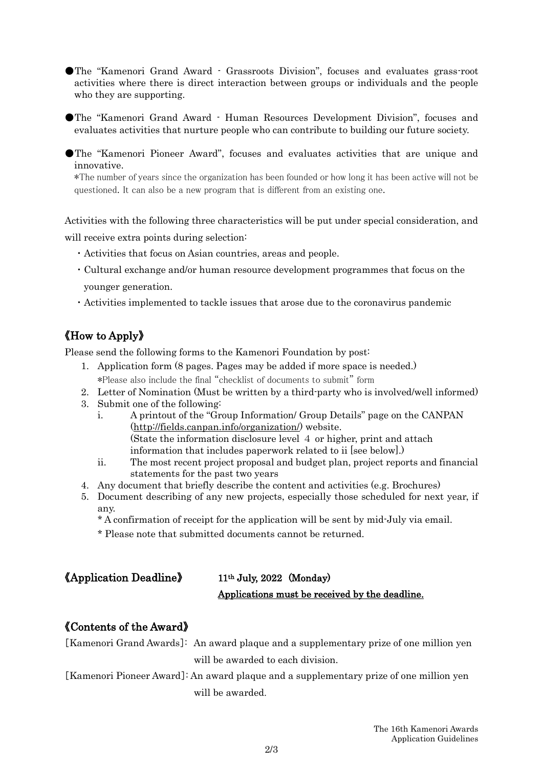●The "Kamenori Grand Award - Grassroots Division", focuses and evaluates grass-root activities where there is direct interaction between groups or individuals and the people who they are supporting.

●The "Kamenori Grand Award - Human Resources Development Division", focuses and evaluates activities that nurture people who can contribute to building our future society.

●The "Kamenori Pioneer Award", focuses and evaluates activities that are unique and innovative.

\*The number of years since the organization has been founded or how long it has been active will not be questioned. It can also be a new program that is different from an existing one.

Activities with the following three characteristics will be put under special consideration, and will receive extra points during selection:

- ・Activities that focus on Asian countries, areas and people.
- ・Cultural exchange and/or human resource development programmes that focus on the younger generation.
- ・Activities implemented to tackle issues that arose due to the coronavirus pandemic

# 《How to Apply》

Please send the following forms to the Kamenori Foundation by post:

- 1. Application form (8 pages. Pages may be added if more space is needed.) \*Please also include the final "checklist of documents to submit" form
- 2. Letter of Nomination (Must be written by a third-party who is involved/well informed)
- 3. Submit one of the following:
	- i. A printout of the "Group Information/ Group Details" page on the CANPAN [\(http://fields.canpan.info/organization/\)](http://fields.canpan.info/organization/) website. (State the information disclosure level 4 or higher, print and attach information that includes paperwork related to ii [see below].)
	- ii. The most recent project proposal and budget plan, project reports and financial statements for the past two years
- 4. Any document that briefly describe the content and activities (e.g. Brochures)
- 5. Document describing of any new projects, especially those scheduled for next year, if any.
	- \* A confirmation of receipt for the application will be sent by mid-July via email.
	- \* Please note that submitted documents cannot be returned.

| <b>《Application Deadline》</b> | $11th$ July, 2022 (Monday)                     |
|-------------------------------|------------------------------------------------|
|                               | Applications must be received by the deadline. |

#### 《Contents of the Award》

[Kamenori Grand Awards]: An award plaque and a supplementary prize of one million yen will be awarded to each division.

[Kamenori Pioneer Award]: An award plaque and a supplementary prize of one million yen will be awarded.